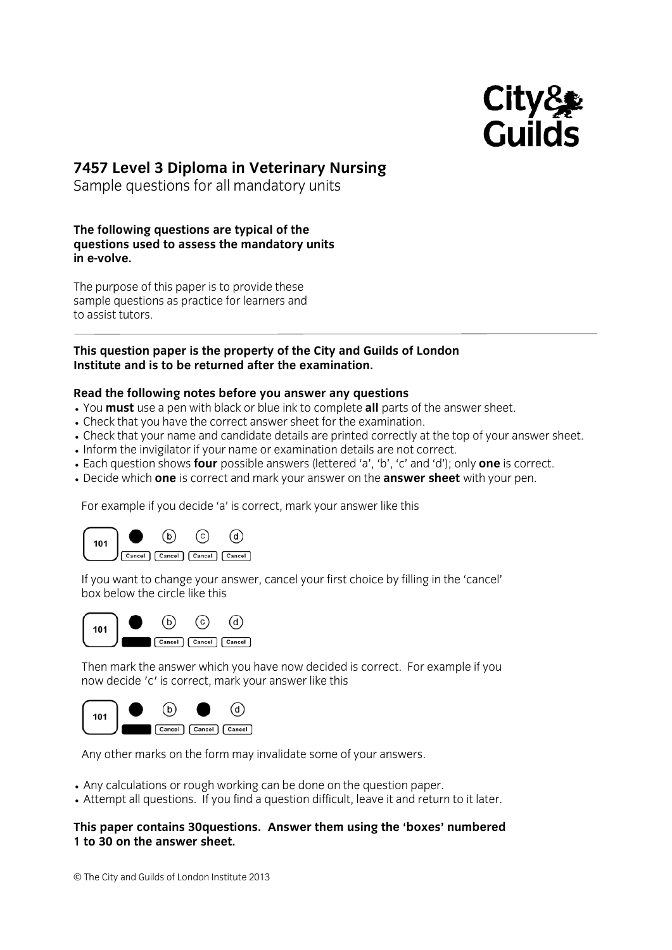

# **7457 Level 3 Diploma in Veterinary Nursing**

Sample questions for all mandatory units

#### **The following questions are typical of the questions used to assess the mandatory units in e-volve.**

The purpose of this paper is to provide these sample questions as practice for learners and to assist tutors.

## **This question paper is the property of the City and Guilds of London Institute and is to be returned after the examination.**

## **Read the following notes before you answer any questions**

- You **must** use a pen with black or blue ink to complete **all** parts of the answer sheet.
- Check that you have the correct answer sheet for the examination.
- Check that your name and candidate details are printed correctly at the top of your answer sheet.
- Inform the invigilator if your name or examination details are not correct.
- Each question shows **four** possible answers (lettered 'a', 'b', 'c' and 'd'); only **one** is correct.
- Decide which **one** is correct and mark your answer on the **answer sheet** with your pen.

For example if you decide 'a' is correct, mark your answer like this



If you want to change your answer, cancel your first choice by filling in the 'cancel' box below the circle like this



Then mark the answer which you have now decided is correct. For example if you now decide 'c' is correct, mark your answer like this



Any other marks on the form may invalidate some of your answers.

- Any calculations or rough working can be done on the question paper.
- Attempt all questions. If you find a question difficult, leave it and return to it later.

## **This paper contains 30questions. Answer them using the 'boxes' numbered 1 to 30 on the answer sheet.**

© The City and Guilds of London Institute 2013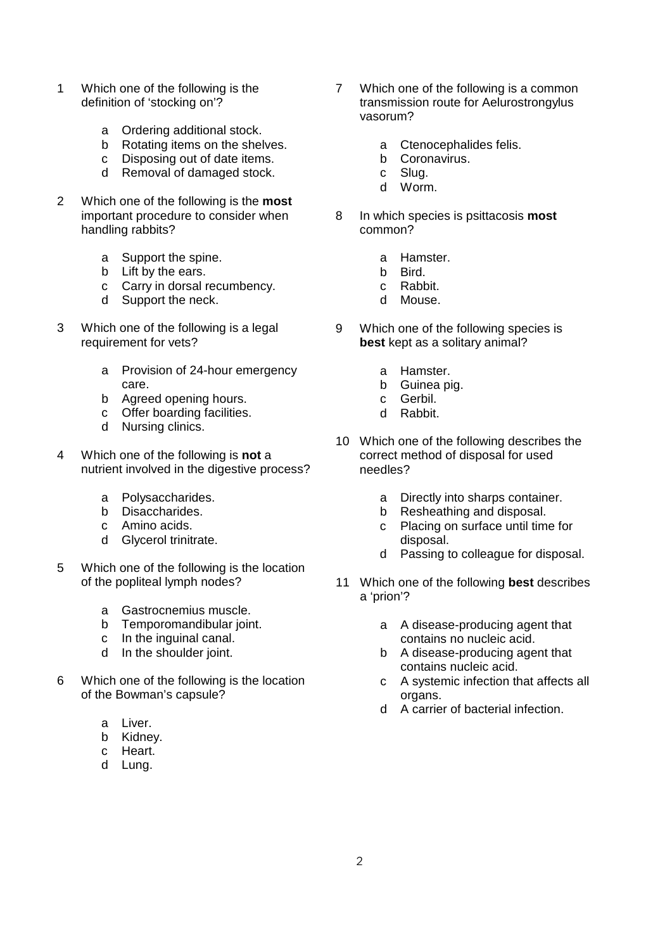- 1 Which one of the following is the definition of 'stocking on'?
	- a Ordering additional stock.<br>b Rotating items on the shel
	- Rotating items on the shelves.
	- c Disposing out of date items.
	- d Removal of damaged stock.
- 2 Which one of the following is the **most** important procedure to consider when handling rabbits?
	- a Support the spine.
	- b Lift by the ears.
	- c Carry in dorsal recumbency.
	- d Support the neck.
- 3 Which one of the following is a legal requirement for vets?
	- a Provision of 24-hour emergency care.
	- b Agreed opening hours.
	- c Offer boarding facilities.
	- d Nursing clinics.
- 4 Which one of the following is **not** a nutrient involved in the digestive process?
	- a Polysaccharides.
	- b Disaccharides.
	- c Amino acids.
	- d Glycerol trinitrate.
- 5 Which one of the following is the location of the popliteal lymph nodes?
	- a Gastrocnemius muscle.
	- b Temporomandibular joint.<br>c In the inquinal canal.
	- In the inguinal canal.
	- d In the shoulder joint.
- 6 Which one of the following is the location of the Bowman's capsule?
	- a Liver.
	- b Kidney.
	- c Heart.
	- d Lung.
- 7 Which one of the following is a common transmission route for Aelurostrongylus vasorum?
	- a Ctenocephalides felis.
	- b Coronavirus.
	- c Slug.
	- d Worm.
- 8 In which species is psittacosis **most** common?
	- a Hamster.
	- b Bird.
	- c Rabbit.
	- d Mouse.
- 9 Which one of the following species is **best** kept as a solitary animal?
	- a Hamster.
	- b Guinea pig.
	- c Gerbil.
	- d Rabbit.
- 10 Which one of the following describes the correct method of disposal for used needles?
	- a Directly into sharps container.
	- b Resheathing and disposal.
	- c Placing on surface until time for disposal.
	- d Passing to colleague for disposal.
- 11 Which one of the following **best** describes a 'prion'?
	- a A disease-producing agent that contains no nucleic acid.
	- b A disease-producing agent that contains nucleic acid.
	- c A systemic infection that affects all organs.
	- d A carrier of bacterial infection.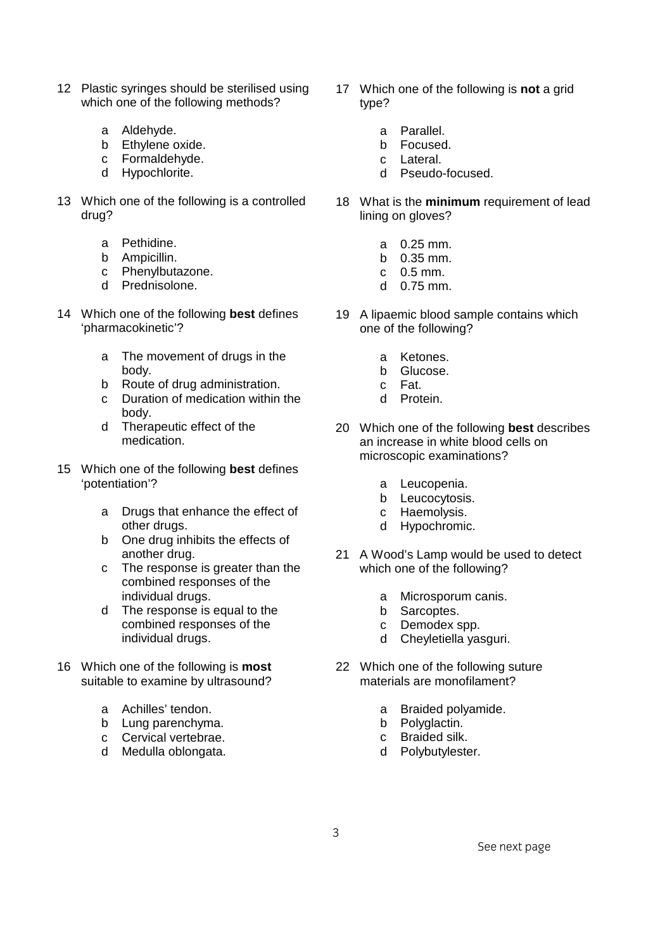- 12 Plastic syringes should be sterilised using which one of the following methods?
	- a Aldehyde.
	- b Ethylene oxide.
	- c Formaldehyde.
	- d Hypochlorite.
- 13 Which one of the following is a controlled drug?
	- a Pethidine.
	- b Ampicillin.
	- c Phenylbutazone.
	- d Prednisolone.
- 14 Which one of the following **best** defines 'pharmacokinetic'?
	- a The movement of drugs in the body.
	- b Route of drug administration.
	- c Duration of medication within the body.
	- d Therapeutic effect of the medication.
- 15 Which one of the following **best** defines 'potentiation'?
	- a Drugs that enhance the effect of other drugs.
	- b One drug inhibits the effects of another drug.
	- c The response is greater than the combined responses of the individual drugs.
	- d The response is equal to the combined responses of the individual drugs.
- 16 Which one of the following is **most** suitable to examine by ultrasound?
	- a Achilles' tendon.
	- b Lung parenchyma.
	- c Cervical vertebrae.
	- d Medulla oblongata.
- 17 Which one of the following is **not** a grid type?
	- a Parallel.
	- b Focused.
	- c Lateral.
	- d Pseudo-focused.
- 18 What is the **minimum** requirement of lead lining on gloves?
	- a 0.25 mm.
	- b 0.35 mm.
	- c 0.5 mm.
	- d 0.75 mm.
- 19 A lipaemic blood sample contains which one of the following?
	- a Ketones.
	- b Glucose.
	- c Fat.
	- d Protein.
- 20 Which one of the following **best** describes an increase in white blood cells on microscopic examinations?
	- a Leucopenia.
	- b Leucocytosis.
	- c Haemolysis.
	- d Hypochromic.
- 21 A Wood's Lamp would be used to detect which one of the following?
	- a Microsporum canis.
	- b Sarcoptes.
	- c Demodex spp.
	- d Cheyletiella yasguri.
- 22 Which one of the following suture materials are monofilament?
	- a Braided polyamide.
	- b Polyglactin.
	- c Braided silk.
	- d Polybutylester.